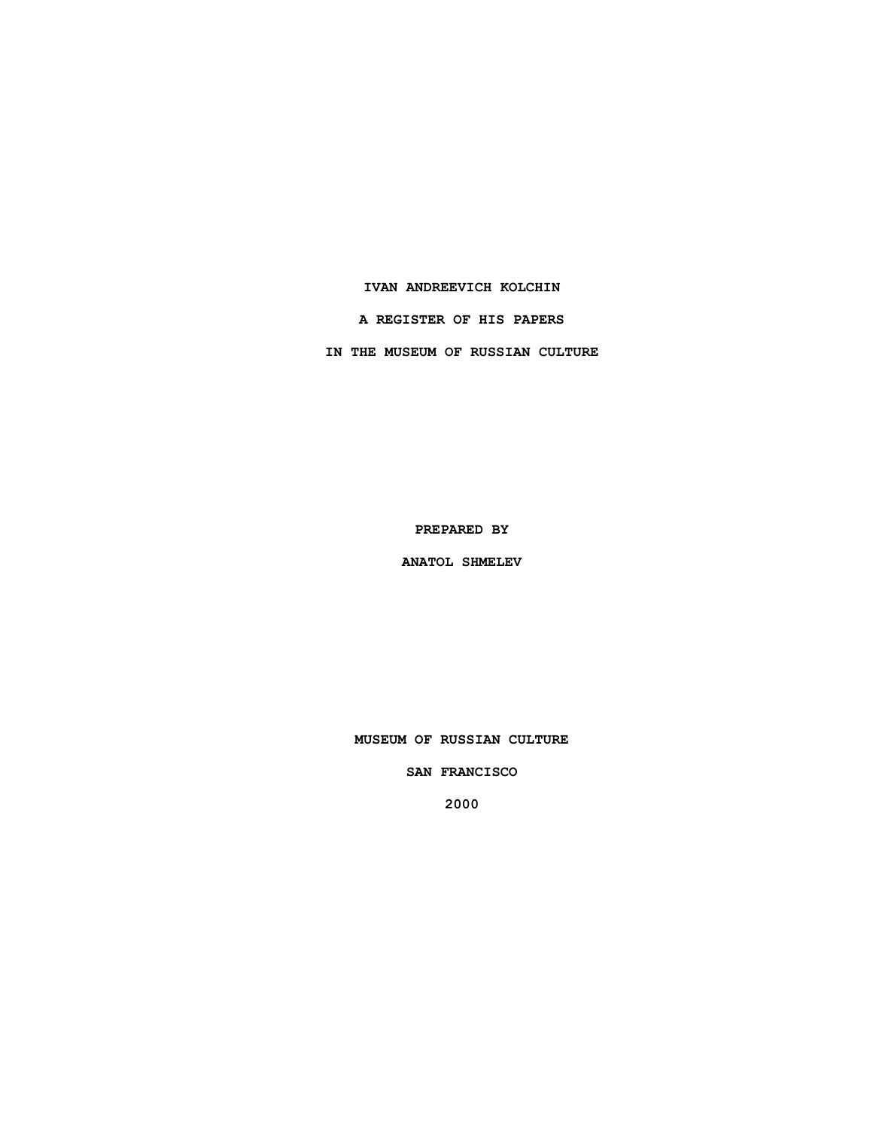### **IVAN ANDREEVICH KOLCHIN**

**A REGISTER OF HIS PAPERS**

**IN THE MUSEUM OF RUSSIAN CULTURE**

**PREPARED BY**

**ANATOL SHMELEV**

**MUSEUM OF RUSSIAN CULTURE**

**SAN FRANCISCO**

**2000**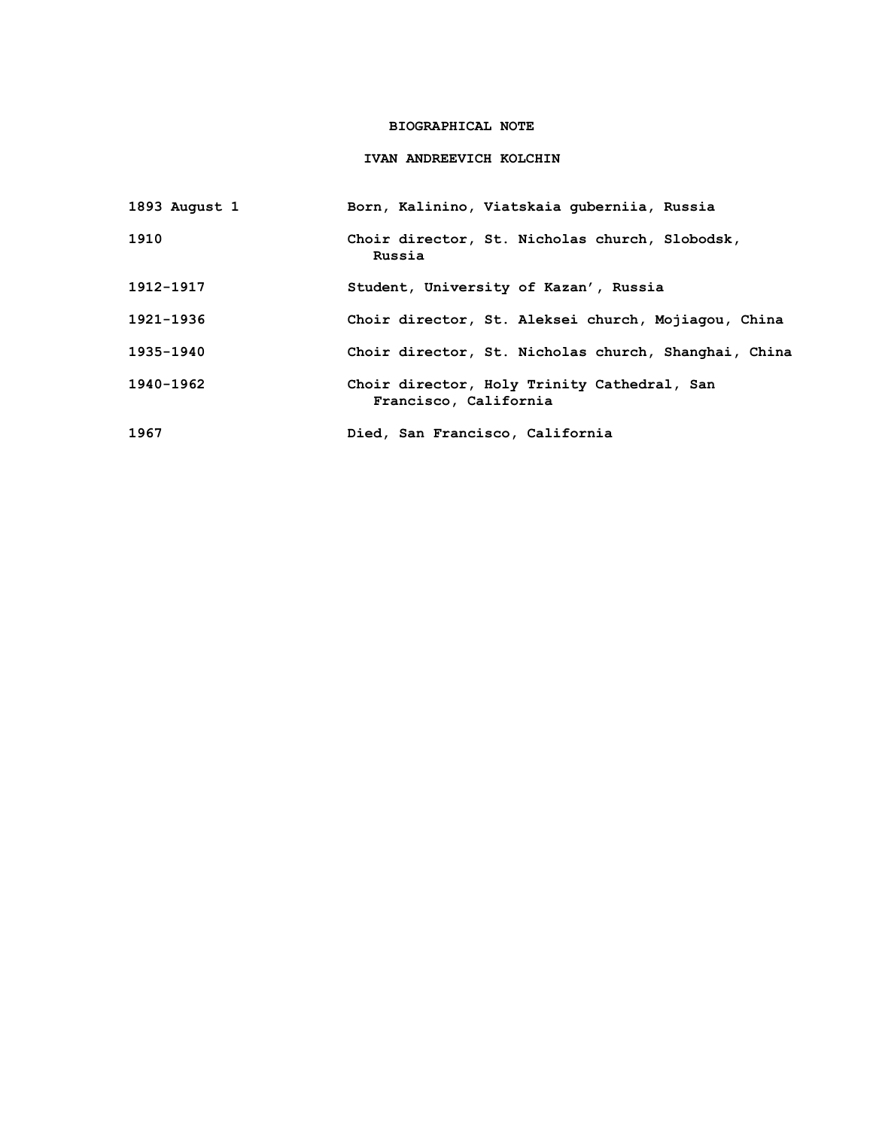## **BIOGRAPHICAL NOTE**

### **IVAN ANDREEVICH KOLCHIN**

| 1893 August 1 | Born, Kalinino, Viatskaia quberniia, Russia                          |
|---------------|----------------------------------------------------------------------|
| 1910          | Choir director, St. Nicholas church, Slobodsk,<br>Russia             |
| 1912-1917     | Student, University of Kazan', Russia                                |
| 1921-1936     | Choir director, St. Aleksei church, Mojiagou, China                  |
| 1935-1940     | Choir director, St. Nicholas church, Shanghai, China                 |
| 1940-1962     | Choir director, Holy Trinity Cathedral, San<br>Francisco, California |
| 1967          | Died, San Francisco, California                                      |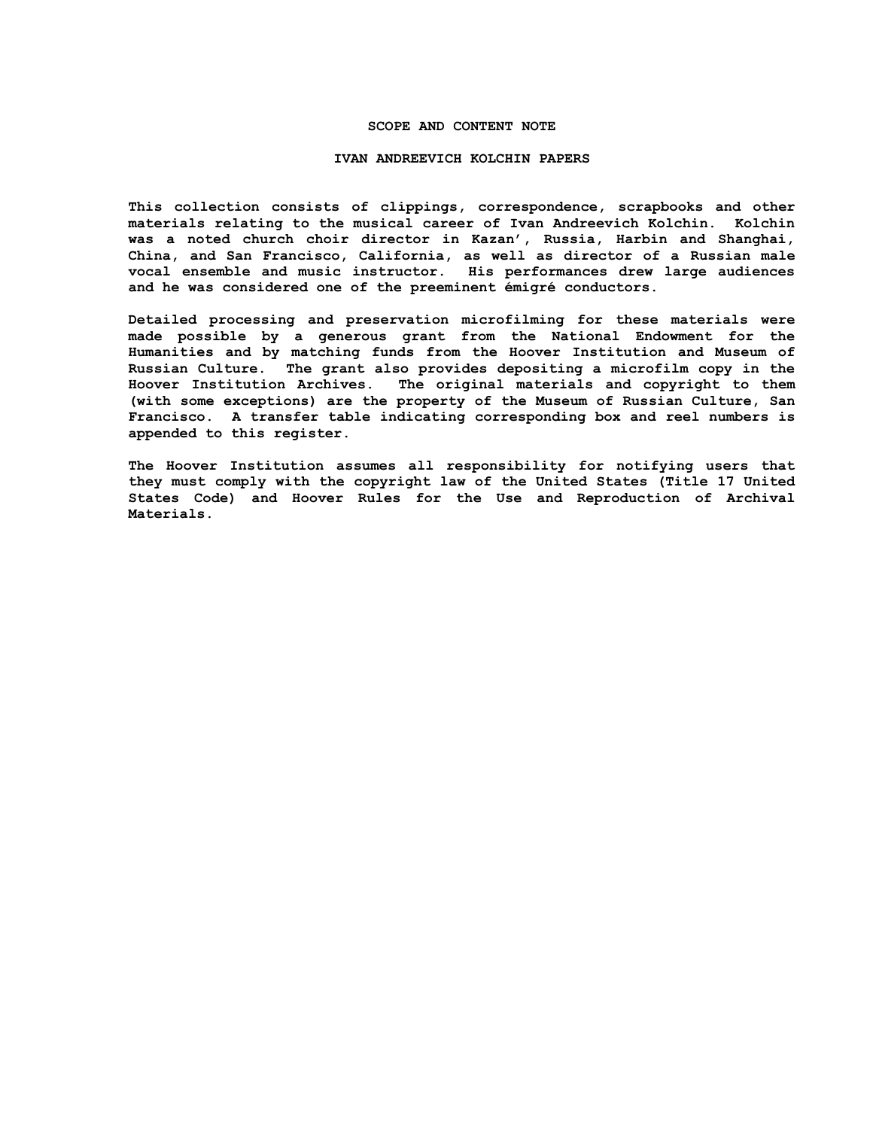### **SCOPE AND CONTENT NOTE**

#### **IVAN ANDREEVICH KOLCHIN PAPERS**

**This collection consists of clippings, correspondence, scrapbooks and other materials relating to the musical career of Ivan Andreevich Kolchin. Kolchin was a noted church choir director in Kazan', Russia, Harbin and Shanghai, China, and San Francisco, California, as well as director of a Russian male vocal ensemble and music instructor. His performances drew large audiences and he was considered one of the preeminent émigré conductors.**

**Detailed processing and preservation microfilming for these materials were made possible by a generous grant from the National Endowment for the Humanities and by matching funds from the Hoover Institution and Museum of Russian Culture. The grant also provides depositing a microfilm copy in the Hoover Institution Archives. The original materials and copyright to them (with some exceptions) are the property of the Museum of Russian Culture, San Francisco. A transfer table indicating corresponding box and reel numbers is appended to this register.**

**The Hoover Institution assumes all responsibility for notifying users that they must comply with the copyright law of the United States (Title 17 United States Code) and Hoover Rules for the Use and Reproduction of Archival Materials.**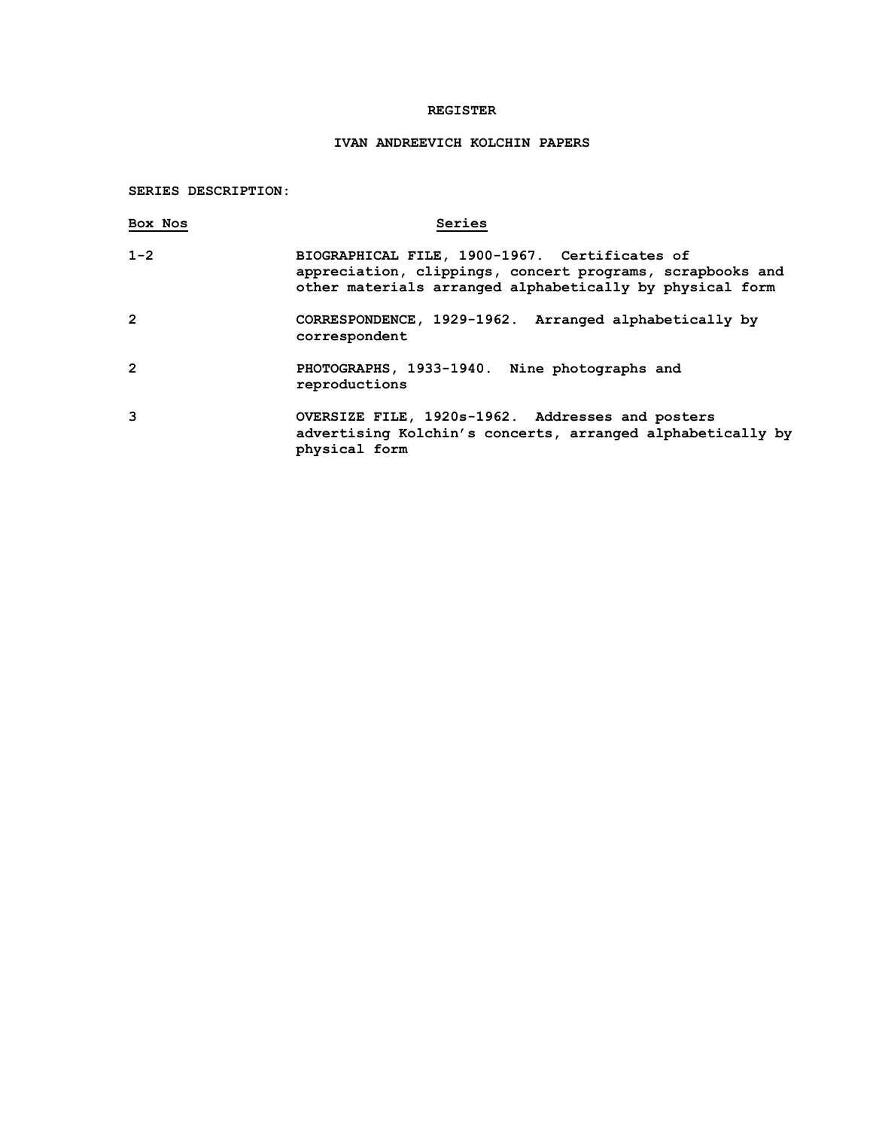### **REGISTER**

# **IVAN ANDREEVICH KOLCHIN PAPERS**

**SERIES DESCRIPTION:**

| Box Nos        | Series                                                                                                                                                                 |
|----------------|------------------------------------------------------------------------------------------------------------------------------------------------------------------------|
| $1 - 2$        | BIOGRAPHICAL FILE, 1900-1967. Certificates of<br>appreciation, clippings, concert programs, scrapbooks and<br>other materials arranged alphabetically by physical form |
| $\overline{2}$ | CORRESPONDENCE, 1929-1962. Arranged alphabetically by<br>correspondent                                                                                                 |
| $\overline{2}$ | PHOTOGRAPHS, 1933-1940. Nine photographs and<br>reproductions                                                                                                          |
| 3              | OVERSIZE FILE, 1920s-1962. Addresses and posters<br>advertising Kolchin's concerts, arranged alphabetically by<br>physical form                                        |